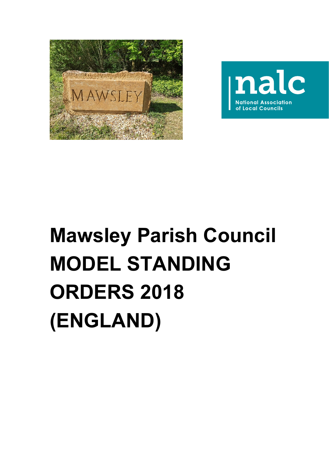



# **Mawsley Parish Council MODEL STANDING ORDERS 2018 (ENGLAND)**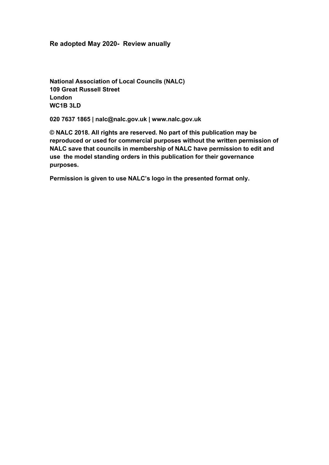#### **Re adopted May 2020- Review anually**

**National Association of Local Councils (NALC) 109 Great Russell Street London WC1B 3LD**

**020 7637 1865 | nalc@nalc.gov.uk | www.nalc.gov.uk**

**© NALC 2018. All rights are reserved. No part of this publication may be reproduced or used for commercial purposes without the written permission of NALC save that councils in membership of NALC have permission to edit and use the model standing orders in this publication for their governance purposes.**

**Permission is given to use NALC's logo in the presented format only.**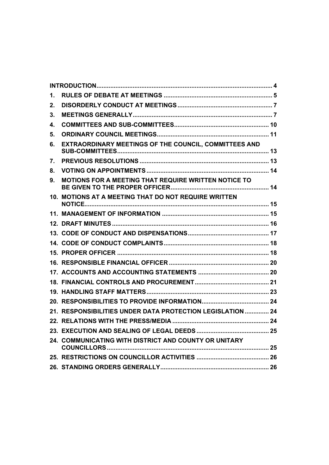| 1. |                                                               |  |  |
|----|---------------------------------------------------------------|--|--|
| 2. |                                                               |  |  |
| 3. |                                                               |  |  |
| 4. |                                                               |  |  |
| 5. |                                                               |  |  |
| 6. | EXTRAORDINARY MEETINGS OF THE COUNCIL, COMMITTEES AND         |  |  |
| 7. |                                                               |  |  |
| 8. |                                                               |  |  |
| 9. | MOTIONS FOR A MEETING THAT REQUIRE WRITTEN NOTICE TO          |  |  |
|    | 10. MOTIONS AT A MEETING THAT DO NOT REQUIRE WRITTEN          |  |  |
|    |                                                               |  |  |
|    |                                                               |  |  |
|    |                                                               |  |  |
|    |                                                               |  |  |
|    |                                                               |  |  |
|    |                                                               |  |  |
|    |                                                               |  |  |
|    |                                                               |  |  |
|    |                                                               |  |  |
|    |                                                               |  |  |
|    | <b>RESPONSIBILITIES UNDER DATA PROTECTION LEGISLATION  24</b> |  |  |
|    |                                                               |  |  |
|    |                                                               |  |  |
|    | 24. COMMUNICATING WITH DISTRICT AND COUNTY OR UNITARY         |  |  |
|    |                                                               |  |  |
|    |                                                               |  |  |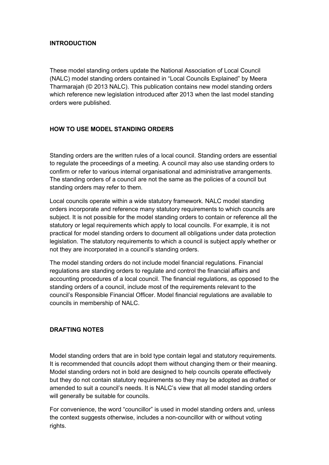#### <span id="page-3-0"></span>**INTRODUCTION**

These model standing orders update the National Association of Local Council (NALC) model standing orders contained in "Local Councils Explained" by Meera Tharmarajah (© 2013 NALC). This publication contains new model standing orders which reference new legislation introduced after 2013 when the last model standing orders were published.

#### **HOW TO USE MODEL STANDING ORDERS**

Standing orders are the written rules of a local council. Standing orders are essential to regulate the proceedings of a meeting. A council may also use standing orders to confirm or refer to various internal organisational and administrative arrangements. The standing orders of a council are not the same as the policies of a council but standing orders may refer to them.

Local councils operate within a wide statutory framework. NALC model standing orders incorporate and reference many statutory requirements to which councils are subject. It is not possible for the model standing orders to contain or reference all the statutory or legal requirements which apply to local councils. For example, it is not practical for model standing orders to document all obligations under data protection legislation. The statutory requirements to which a council is subject apply whether or not they are incorporated in a council's standing orders.

The model standing orders do not include model financial regulations. Financial regulations are standing orders to regulate and control the financial affairs and accounting procedures of a local council. The financial regulations, as opposed to the standing orders of a council, include most of the requirements relevant to the council's Responsible Financial Officer. Model financial regulations are available to councils in membership of NALC.

#### **DRAFTING NOTES**

Model standing orders that are in bold type contain legal and statutory requirements. It is recommended that councils adopt them without changing them or their meaning. Model standing orders not in bold are designed to help councils operate effectively but they do not contain statutory requirements so they may be adopted as drafted or amended to suit a council's needs. It is NALC's view that all model standing orders will generally be suitable for councils.

For convenience, the word "councillor" is used in model standing orders and, unless the context suggests otherwise, includes a non-councillor with or without voting rights.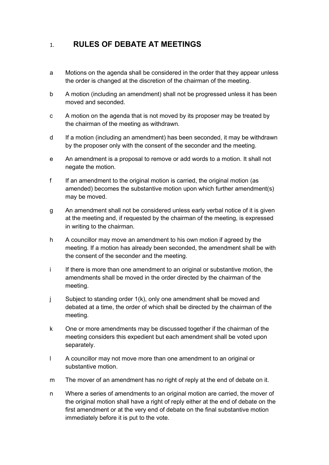## <span id="page-4-0"></span>1. **RULES OF DEBATE AT MEETINGS**

- a Motions on the agenda shall be considered in the order that they appear unless the order is changed at the discretion of the chairman of the meeting.
- b A motion (including an amendment) shall not be progressed unless it has been moved and seconded.
- c A motion on the agenda that is not moved by its proposer may be treated by the chairman of the meeting as withdrawn.
- d If a motion (including an amendment) has been seconded, it may be withdrawn by the proposer only with the consent of the seconder and the meeting.
- e An amendment is a proposal to remove or add words to a motion. It shall not negate the motion.
- f If an amendment to the original motion is carried, the original motion (as amended) becomes the substantive motion upon which further amendment(s) may be moved.
- g An amendment shall not be considered unless early verbal notice of it is given at the meeting and, if requested by the chairman of the meeting, is expressed in writing to the chairman.
- h A councillor may move an amendment to his own motion if agreed by the meeting. If a motion has already been seconded, the amendment shall be with the consent of the seconder and the meeting.
- i If there is more than one amendment to an original or substantive motion, the amendments shall be moved in the order directed by the chairman of the meeting.
- j Subject to standing order 1(k), only one amendment shall be moved and debated at a time, the order of which shall be directed by the chairman of the meeting.
- k One or more amendments may be discussed together if the chairman of the meeting considers this expedient but each amendment shall be voted upon separately.
- l A councillor may not move more than one amendment to an original or substantive motion.
- m The mover of an amendment has no right of reply at the end of debate on it.
- n Where a series of amendments to an original motion are carried, the mover of the original motion shall have a right of reply either at the end of debate on the first amendment or at the very end of debate on the final substantive motion immediately before it is put to the vote.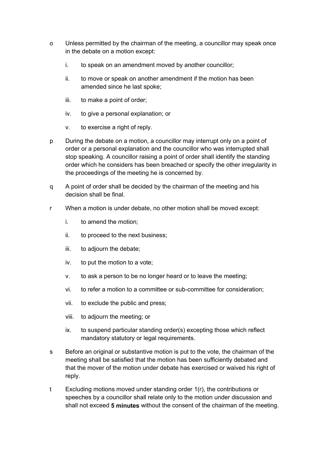- o Unless permitted by the chairman of the meeting, a councillor may speak once in the debate on a motion except:
	- i. to speak on an amendment moved by another councillor;
	- ii. to move or speak on another amendment if the motion has been amended since he last spoke;
	- iii. to make a point of order;
	- iv. to give a personal explanation; or
	- v. to exercise a right of reply.
- p During the debate on a motion, a councillor may interrupt only on a point of order or a personal explanation and the councillor who was interrupted shall stop speaking. A councillor raising a point of order shall identify the standing order which he considers has been breached or specify the other irregularity in the proceedings of the meeting he is concerned by.
- q A point of order shall be decided by the chairman of the meeting and his decision shall be final.
- r When a motion is under debate, no other motion shall be moved except:
	- i. to amend the motion;
	- ii. to proceed to the next business;
	- iii. to adjourn the debate;
	- iv. to put the motion to a vote;
	- v. to ask a person to be no longer heard or to leave the meeting;
	- vi. to refer a motion to a committee or sub-committee for consideration;
	- vii. to exclude the public and press;
	- viii. to adjourn the meeting; or
	- ix. to suspend particular standing order(s) excepting those which reflect mandatory statutory or legal requirements.
- s Before an original or substantive motion is put to the vote, the chairman of the meeting shall be satisfied that the motion has been sufficiently debated and that the mover of the motion under debate has exercised or waived his right of reply.
- t Excluding motions moved under standing order 1(r), the contributions or speeches by a councillor shall relate only to the motion under discussion and shall not exceed **5 minutes** without the consent of the chairman of the meeting.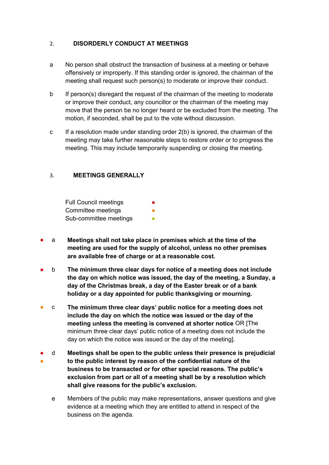#### <span id="page-6-0"></span>2. **DISORDERLY CONDUCT AT MEETINGS**

- a No person shall obstruct the transaction of business at a meeting or behave offensively or improperly. If this standing order is ignored, the chairman of the meeting shall request such person(s) to moderate or improve their conduct.
- b If person(s) disregard the request of the chairman of the meeting to moderate or improve their conduct, any councillor or the chairman of the meeting may move that the person be no longer heard or be excluded from the meeting. The motion, if seconded, shall be put to the vote without discussion.
- c If a resolution made under standing order  $2(b)$  is ignored, the chairman of the meeting may take further reasonable steps to restore order or to progress the meeting. This may include temporarily suspending or closing the meeting.

#### <span id="page-6-1"></span>3. **MEETINGS GENERALLY**

Full Council meetings Committee meetings Sub-committee meetings

- a **Meetings shall not take place in premises which at the time of the meeting are used for the supply of alcohol, unless no other premises are available free of charge or at a reasonable cost.**
- b **The minimum three clear days for notice of a meeting does not include the day on which notice was issued, the day of the meeting, a Sunday, a day of the Christmas break, a day of the Easter break or of a bank holiday or a day appointed for public thanksgiving or mourning.**
- c **The minimum three clear days' public notice for a meeting does not include the day on which the notice was issued or the day of the meeting unless the meeting is convened at shorter notice** OR [The minimum three clear days' public notice of a meeting does not include the day on which the notice was issued or the day of the meeting].
- ● d **Meetings shall be open to the public unless their presence is prejudicial to the public interest by reason of the confidential nature of the business to be transacted or for other special reasons. The public's exclusion from part or all of a meeting shall be by a resolution which shall give reasons for the public's exclusion.**
	- e Members of the public may make representations, answer questions and give evidence at a meeting which they are entitled to attend in respect of the business on the agenda.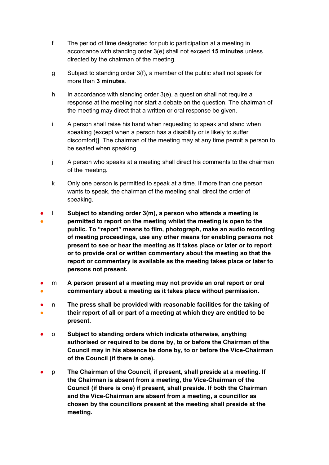- f The period of time designated for public participation at a meeting in accordance with standing order 3(e) shall not exceed **15 minutes** unless directed by the chairman of the meeting.
- g Subject to standing order 3(f), a member of the public shall not speak for more than **3 minutes**.
- h In accordance with standing order 3(e), a question shall not require a response at the meeting nor start a debate on the question. The chairman of the meeting may direct that a written or oral response be given.
- i A person shall raise his hand when requesting to speak and stand when speaking (except when a person has a disability or is likely to suffer discomfort)]. The chairman of the meeting may at any time permit a person to be seated when speaking.
- j A person who speaks at a meeting shall direct his comments to the chairman of the meeting.
- k Only one person is permitted to speak at a time. If more than one person wants to speak, the chairman of the meeting shall direct the order of speaking.
- ● l **Subject to standing order 3(m), a person who attends a meeting is permitted to report on the meeting whilst the meeting is open to the public. To "report" means to film, photograph, make an audio recording of meeting proceedings, use any other means for enabling persons not present to see or hear the meeting as it takes place or later or to report or to provide oral or written commentary about the meeting so that the report or commentary is available as the meeting takes place or later to persons not present.**
- ● m **A person present at a meeting may not provide an oral report or oral commentary about a meeting as it takes place without permission.**
- ● n **The press shall be provided with reasonable facilities for the taking of their report of all or part of a meeting at which they are entitled to be present.**
- o **Subject to standing orders which indicate otherwise, anything authorised or required to be done by, to or before the Chairman of the Council may in his absence be done by, to or before the Vice-Chairman of the Council (if there is one).**
- p **The Chairman of the Council, if present, shall preside at a meeting. If the Chairman is absent from a meeting, the Vice-Chairman of the Council (if there is one) if present, shall preside. If both the Chairman and the Vice-Chairman are absent from a meeting, a councillor as chosen by the councillors present at the meeting shall preside at the meeting.**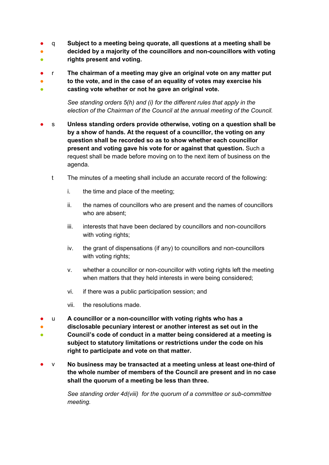- q **Subject to a meeting being quorate, all questions at a meeting shall be**
- **decided by a majority of the councillors and non-councillors with voting**
- **rights present and voting.**
- r **The chairman of a meeting may give an original vote on any matter put**

● **to the vote, and in the case of an equality of votes may exercise his** 

● **casting vote whether or not he gave an original vote.**

> *See standing orders 5(h) and (i) for the different rules that apply in the election of the Chairman of the Council at the annual meeting of the Council.*

- s **Unless standing orders provide otherwise, voting on a question shall be by a show of hands. At the request of a councillor, the voting on any question shall be recorded so as to show whether each councillor present and voting gave his vote for or against that question.** Such a request shall be made before moving on to the next item of business on the agenda.
	- t The minutes of a meeting shall include an accurate record of the following:
		- i. the time and place of the meeting;
		- ii. the names of councillors who are present and the names of councillors who are absent;
		- iii. interests that have been declared by councillors and non-councillors with voting rights;
		- iv. the grant of dispensations (if any) to councillors and non-councillors with voting rights;
		- v. whether a councillor or non-councillor with voting rights left the meeting when matters that they held interests in were being considered;
		- vi. if there was a public participation session; and
		- vii. the resolutions made.
- u **A councillor or a non-councillor with voting rights who has a**
- **disclosable pecuniary interest or another interest as set out in the**
- **Council's code of conduct in a matter being considered at a meeting is subject to statutory limitations or restrictions under the code on his right to participate and vote on that matter.**
- v **No business may be transacted at a meeting unless at least one-third of the whole number of members of the Council are present and in no case shall the quorum of a meeting be less than three.**

*See standing order 4d(viii) for the quorum of a committee or sub-committee meeting.*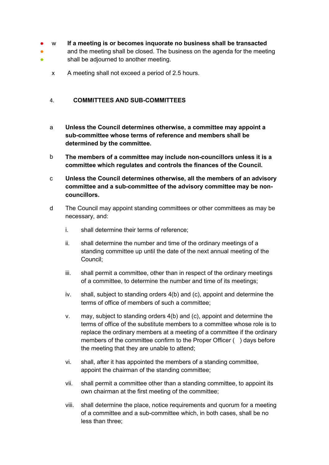#### ● w **If a meeting is or becomes inquorate no business shall be transacted**

- ● and the meeting shall be closed. The business on the agenda for the meeting shall be adjourned to another meeting.
	- x A meeting shall not exceed a period of 2.5 hours.

#### <span id="page-9-0"></span>4. **COMMITTEES AND SUB-COMMITTEES**

- a **Unless the Council determines otherwise, a committee may appoint a sub-committee whose terms of reference and members shall be determined by the committee.**
- b **The members of a committee may include non-councillors unless it is a committee which regulates and controls the finances of the Council.**
- c **Unless the Council determines otherwise, all the members of an advisory committee and a sub-committee of the advisory committee may be noncouncillors.**
- d The Council may appoint standing committees or other committees as may be necessary, and:
	- i. shall determine their terms of reference;
	- ii. shall determine the number and time of the ordinary meetings of a standing committee up until the date of the next annual meeting of the Council;
	- iii. shall permit a committee, other than in respect of the ordinary meetings of a committee, to determine the number and time of its meetings;
	- iv. shall, subject to standing orders 4(b) and (c), appoint and determine the terms of office of members of such a committee;
	- v. may, subject to standing orders 4(b) and (c), appoint and determine the terms of office of the substitute members to a committee whose role is to replace the ordinary members at a meeting of a committee if the ordinary members of the committee confirm to the Proper Officer () days before the meeting that they are unable to attend;
	- vi. shall, after it has appointed the members of a standing committee, appoint the chairman of the standing committee;
	- vii. shall permit a committee other than a standing committee, to appoint its own chairman at the first meeting of the committee;
	- viii. shall determine the place, notice requirements and quorum for a meeting of a committee and a sub-committee which, in both cases, shall be no less than three;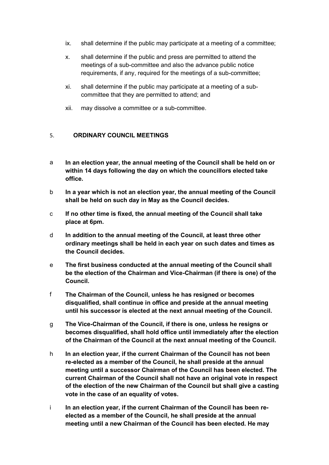- ix. shall determine if the public may participate at a meeting of a committee;
- x. shall determine if the public and press are permitted to attend the meetings of a sub-committee and also the advance public notice requirements, if any, required for the meetings of a sub-committee;
- xi. shall determine if the public may participate at a meeting of a subcommittee that they are permitted to attend; and
- xii. may dissolve a committee or a sub-committee.

#### <span id="page-10-0"></span>5. **ORDINARY COUNCIL MEETINGS**

- a **In an election year, the annual meeting of the Council shall be held on or within 14 days following the day on which the councillors elected take office.**
- b **In a year which is not an election year, the annual meeting of the Council shall be held on such day in May as the Council decides.**
- c **If no other time is fixed, the annual meeting of the Council shall take place at 6pm.**
- d **In addition to the annual meeting of the Council, at least three other ordinary meetings shall be held in each year on such dates and times as the Council decides.**
- e **The first business conducted at the annual meeting of the Council shall be the election of the Chairman and Vice-Chairman (if there is one) of the Council.**
- f **The Chairman of the Council, unless he has resigned or becomes disqualified, shall continue in office and preside at the annual meeting until his successor is elected at the next annual meeting of the Council.**
- g **The Vice-Chairman of the Council, if there is one, unless he resigns or becomes disqualified, shall hold office until immediately after the election of the Chairman of the Council at the next annual meeting of the Council.**
- h **In an election year, if the current Chairman of the Council has not been re-elected as a member of the Council, he shall preside at the annual meeting until a successor Chairman of the Council has been elected. The current Chairman of the Council shall not have an original vote in respect of the election of the new Chairman of the Council but shall give a casting vote in the case of an equality of votes.**
- i **In an election year, if the current Chairman of the Council has been reelected as a member of the Council, he shall preside at the annual meeting until a new Chairman of the Council has been elected. He may**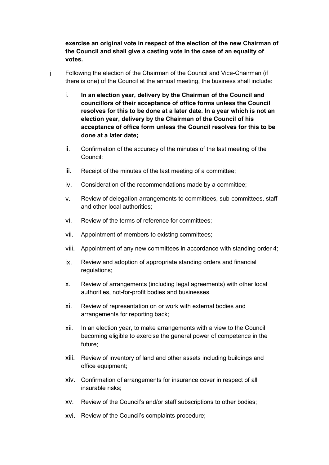**exercise an original vote in respect of the election of the new Chairman of the Council and shall give a casting vote in the case of an equality of votes.**

- j Following the election of the Chairman of the Council and Vice-Chairman (if there is one) of the Council at the annual meeting, the business shall include:
	- i. **In an election year, delivery by the Chairman of the Council and councillors of their acceptance of office forms unless the Council resolves for this to be done at a later date. In a year which is not an election year, delivery by the Chairman of the Council of his acceptance of office form unless the Council resolves for this to be done at a later date;**
	- ii. Confirmation of the accuracy of the minutes of the last meeting of the Council;
	- iii. Receipt of the minutes of the last meeting of a committee;
	- iv. Consideration of the recommendations made by a committee;
	- v. Review of delegation arrangements to committees, sub-committees, staff and other local authorities;
	- vi. Review of the terms of reference for committees;
	- vii. Appointment of members to existing committees;
	- viii. Appointment of any new committees in accordance with standing order 4;
	- ix. Review and adoption of appropriate standing orders and financial regulations;
	- x. Review of arrangements (including legal agreements) with other local authorities, not-for-profit bodies and businesses.
	- xi. Review of representation on or work with external bodies and arrangements for reporting back;
	- xii. In an election year, to make arrangements with a view to the Council becoming eligible to exercise the general power of competence in the future;
	- xiii. Review of inventory of land and other assets including buildings and office equipment;
	- xiv. Confirmation of arrangements for insurance cover in respect of all insurable risks;
	- xv. Review of the Council's and/or staff subscriptions to other bodies;
	- xvi. Review of the Council's complaints procedure;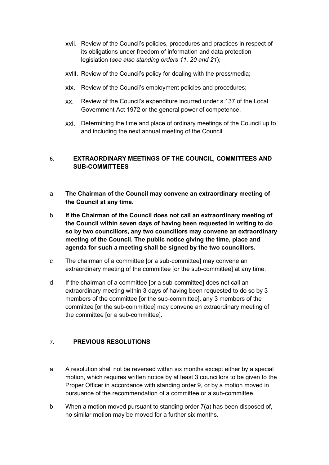- xvii. Review of the Council's policies, procedures and practices in respect of its obligations under freedom of information and data protection legislation (*see also standing orders 11, 20 and 21*);
- xviii. Review of the Council's policy for dealing with the press/media;
- xix. Review of the Council's employment policies and procedures;
- xx. Review of the Council's expenditure incurred under s.137 of the Local Government Act 1972 or the general power of competence.
- xxi. Determining the time and place of ordinary meetings of the Council up to and including the next annual meeting of the Council.

#### <span id="page-12-0"></span>6. **EXTRAORDINARY MEETINGS OF THE COUNCIL, COMMITTEES AND SUB-COMMITTEES**

- a **The Chairman of the Council may convene an extraordinary meeting of the Council at any time.**
- b **If the Chairman of the Council does not call an extraordinary meeting of the Council within seven days of having been requested in writing to do so by two councillors, any two councillors may convene an extraordinary meeting of the Council. The public notice giving the time, place and agenda for such a meeting shall be signed by the two councillors.**
- c The chairman of a committee [or a sub-committee] may convene an extraordinary meeting of the committee [or the sub-committee] at any time.
- d If the chairman of a committee [or a sub-committee] does not call an extraordinary meeting within 3 days of having been requested to do so by 3 members of the committee [or the sub-committee], any 3 members of the committee [or the sub-committee] may convene an extraordinary meeting of the committee [or a sub-committee].

#### <span id="page-12-1"></span>7. **PREVIOUS RESOLUTIONS**

- a A resolution shall not be reversed within six months except either by a special motion, which requires written notice by at least 3 councillors to be given to the Proper Officer in accordance with standing order 9, or by a motion moved in pursuance of the recommendation of a committee or a sub-committee.
- b When a motion moved pursuant to standing order 7(a) has been disposed of, no similar motion may be moved for a further six months.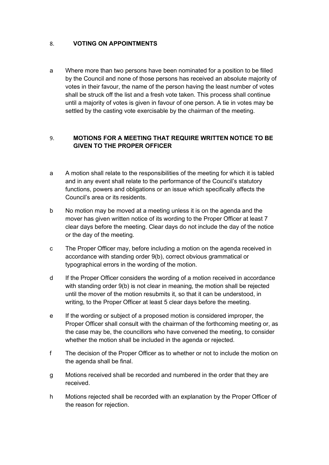#### <span id="page-13-0"></span>8. **VOTING ON APPOINTMENTS**

a Where more than two persons have been nominated for a position to be filled by the Council and none of those persons has received an absolute majority of votes in their favour, the name of the person having the least number of votes shall be struck off the list and a fresh vote taken. This process shall continue until a majority of votes is given in favour of one person. A tie in votes may be settled by the casting vote exercisable by the chairman of the meeting.

#### <span id="page-13-1"></span>9. **MOTIONS FOR A MEETING THAT REQUIRE WRITTEN NOTICE TO BE GIVEN TO THE PROPER OFFICER**

- a A motion shall relate to the responsibilities of the meeting for which it is tabled and in any event shall relate to the performance of the Council's statutory functions, powers and obligations or an issue which specifically affects the Council's area or its residents.
- b No motion may be moved at a meeting unless it is on the agenda and the mover has given written notice of its wording to the Proper Officer at least 7 clear days before the meeting. Clear days do not include the day of the notice or the day of the meeting.
- c The Proper Officer may, before including a motion on the agenda received in accordance with standing order 9(b), correct obvious grammatical or typographical errors in the wording of the motion.
- d If the Proper Officer considers the wording of a motion received in accordance with standing order 9(b) is not clear in meaning, the motion shall be rejected until the mover of the motion resubmits it, so that it can be understood, in writing, to the Proper Officer at least 5 clear days before the meeting.
- e If the wording or subject of a proposed motion is considered improper, the Proper Officer shall consult with the chairman of the forthcoming meeting or, as the case may be, the councillors who have convened the meeting, to consider whether the motion shall be included in the agenda or rejected.
- f The decision of the Proper Officer as to whether or not to include the motion on the agenda shall be final.
- g Motions received shall be recorded and numbered in the order that they are received.
- h Motions rejected shall be recorded with an explanation by the Proper Officer of the reason for rejection.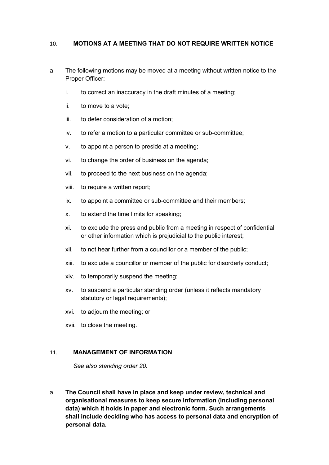#### <span id="page-14-0"></span>10. **MOTIONS AT A MEETING THAT DO NOT REQUIRE WRITTEN NOTICE**

- a The following motions may be moved at a meeting without written notice to the Proper Officer:
	- i. to correct an inaccuracy in the draft minutes of a meeting;
	- ii. to move to a vote;
	- iii. to defer consideration of a motion;
	- iv. to refer a motion to a particular committee or sub-committee;
	- v. to appoint a person to preside at a meeting;
	- vi. to change the order of business on the agenda;
	- vii. to proceed to the next business on the agenda;
	- viii. to require a written report;
	- ix. to appoint a committee or sub-committee and their members;
	- x. to extend the time limits for speaking;
	- xi. to exclude the press and public from a meeting in respect of confidential or other information which is prejudicial to the public interest;
	- xii. to not hear further from a councillor or a member of the public;
	- xiii. to exclude a councillor or member of the public for disorderly conduct;
	- xiv. to temporarily suspend the meeting;
	- xv. to suspend a particular standing order (unless it reflects mandatory statutory or legal requirements);
	- xvi. to adjourn the meeting; or
	- xvii. to close the meeting.

#### <span id="page-14-1"></span>11. **MANAGEMENT OF INFORMATION**

*See also standing order 20.*

a **The Council shall have in place and keep under review, technical and organisational measures to keep secure information (including personal data) which it holds in paper and electronic form. Such arrangements shall include deciding who has access to personal data and encryption of personal data.**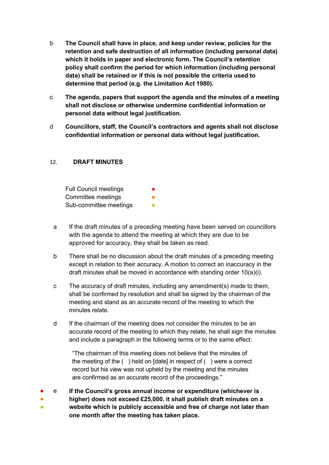- b **The Council shall have in place, and keep under review, policies for the retention and safe destruction of all information (including personal data) which it holds in paper and electronic form. The Council's retention policy shall confirm the period for which information (including personal data) shall be retained or if this is not possible the criteria used to determine that period (e.g. the Limitation Act 1980).**
- c **The agenda, papers that support the agenda and the minutes of a meeting shall not disclose or otherwise undermine confidential information or personal data without legal justification.**
- d **Councillors, staff, the Council's contractors and agents shall not disclose confidential information or personal data without legal justification.**

#### <span id="page-15-0"></span>12. **DRAFT MINUTES**

Full Council meetings Committee meetings Sub-committee meetings

- a If the draft minutes of a preceding meeting have been served on councillors with the agenda to attend the meeting at which they are due to be approved for accuracy, they shall be taken as read.
- b There shall be no discussion about the draft minutes of a preceding meeting except in relation to their accuracy. A motion to correct an inaccuracy in the draft minutes shall be moved in accordance with standing order 10(a)(i).
- c The accuracy of draft minutes, including any amendment(s) made to them, shall be confirmed by resolution and shall be signed by the chairman of the meeting and stand as an accurate record of the meeting to which the minutes relate.
- d If the chairman of the meeting does not consider the minutes to be an accurate record of the meeting to which they relate, he shall sign the minutes and include a paragraph in the following terms or to the same effect:

"The chairman of this meeting does not believe that the minutes of the meeting of the ( ) held on [date] in respect of ( ) were a correct record but his view was not upheld by the meeting and the minutes are confirmed as an accurate record of the proceedings."

- e **If the Council's gross annual income or expenditure (whichever is**
- ● **higher) does not exceed £25,000, it shall publish draft minutes on a website which is publicly accessible and free of charge not later than one month after the meeting has taken place.**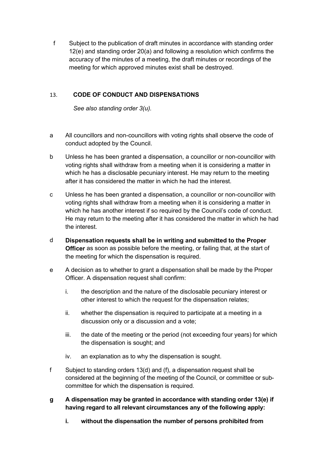f Subject to the publication of draft minutes in accordance with standing order 12(e) and standing order 20(a) and following a resolution which confirms the accuracy of the minutes of a meeting, the draft minutes or recordings of the meeting for which approved minutes exist shall be destroyed.

### <span id="page-16-0"></span>13. **CODE OF CONDUCT AND DISPENSATIONS**

*See also standing order 3(u).*

- a All councillors and non-councillors with voting rights shall observe the code of conduct adopted by the Council.
- b Unless he has been granted a dispensation, a councillor or non-councillor with voting rights shall withdraw from a meeting when it is considering a matter in which he has a disclosable pecuniary interest. He may return to the meeting after it has considered the matter in which he had the interest.
- c Unless he has been granted a dispensation, a councillor or non-councillor with voting rights shall withdraw from a meeting when it is considering a matter in which he has another interest if so required by the Council's code of conduct. He may return to the meeting after it has considered the matter in which he had the interest.
- d **Dispensation requests shall be in writing and submitted to the Proper Officer** as soon as possible before the meeting, or failing that, at the start of the meeting for which the dispensation is required.
- e A decision as to whether to grant a dispensation shall be made by the Proper Officer. A dispensation request shall confirm:
	- i. the description and the nature of the disclosable pecuniary interest or other interest to which the request for the dispensation relates;
	- ii. whether the dispensation is required to participate at a meeting in a discussion only or a discussion and a vote;
	- iii. the date of the meeting or the period (not exceeding four years) for which the dispensation is sought; and
	- iv. an explanation as to why the dispensation is sought.
- f Subject to standing orders 13(d) and (f), a dispensation request shall be considered at the beginning of the meeting of the Council, or committee or subcommittee for which the dispensation is required.
- **g A dispensation may be granted in accordance with standing order 13(e) if having regard to all relevant circumstances any of the following apply:**
	- **i. without the dispensation the number of persons prohibited from**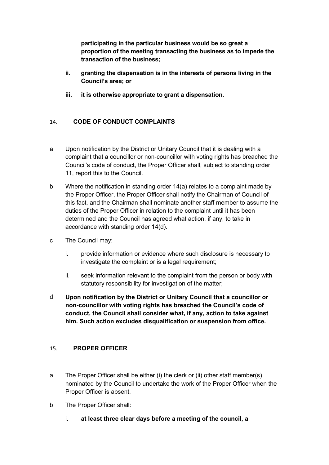**participating in the particular business would be so great a proportion of the meeting transacting the business as to impede the transaction of the business;** 

- **ii. granting the dispensation is in the interests of persons living in the Council's area; or**
- **iii. it is otherwise appropriate to grant a dispensation.**

#### <span id="page-17-0"></span>14. **CODE OF CONDUCT COMPLAINTS**

- a Upon notification by the District or Unitary Council that it is dealing with a complaint that a councillor or non-councillor with voting rights has breached the Council's code of conduct, the Proper Officer shall, subject to standing order 11, report this to the Council.
- b Where the notification in standing order 14(a) relates to a complaint made by the Proper Officer, the Proper Officer shall notify the Chairman of Council of this fact, and the Chairman shall nominate another staff member to assume the duties of the Proper Officer in relation to the complaint until it has been determined and the Council has agreed what action, if any, to take in accordance with standing order 14(d).
- c The Council may:
	- i. provide information or evidence where such disclosure is necessary to investigate the complaint or is a legal requirement;
	- ii. seek information relevant to the complaint from the person or body with statutory responsibility for investigation of the matter;
- d **Upon notification by the District or Unitary Council that a councillor or non-councillor with voting rights has breached the Council's code of conduct, the Council shall consider what, if any, action to take against him. Such action excludes disqualification or suspension from office.**

#### <span id="page-17-1"></span>15. **PROPER OFFICER**

- a The Proper Officer shall be either (i) the clerk or (ii) other staff member(s) nominated by the Council to undertake the work of the Proper Officer when the Proper Officer is absent.
- b The Proper Officer shall:
	- i. **at least three clear days before a meeting of the council, a**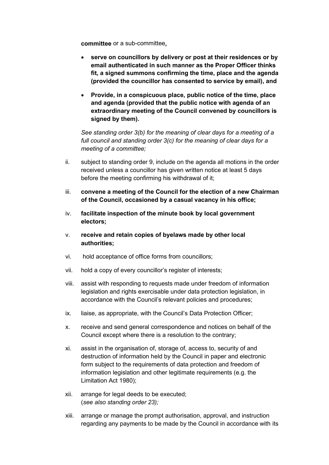**committee** or a sub-committee**,**

- **serve on councillors by delivery or post at their residences or by email authenticated in such manner as the Proper Officer thinks fit, a signed summons confirming the time, place and the agenda (provided the councillor has consented to service by email), and**
- **Provide, in a conspicuous place, public notice of the time, place and agenda (provided that the public notice with agenda of an extraordinary meeting of the Council convened by councillors is signed by them).**

*See standing order 3(b) for the meaning of clear days for a meeting of a full council and standing order 3(c) for the meaning of clear days for a meeting of a committee;*

- ii. subject to standing order 9, include on the agenda all motions in the order received unless a councillor has given written notice at least 5 days before the meeting confirming his withdrawal of it;
- iii. **convene a meeting of the Council for the election of a new Chairman of the Council, occasioned by a casual vacancy in his office;**
- iv. **facilitate inspection of the minute book by local government electors;**
- v. **receive and retain copies of byelaws made by other local authorities;**
- vi. hold acceptance of office forms from councillors;
- vii. hold a copy of every councillor's register of interests;
- viii. assist with responding to requests made under freedom of information legislation and rights exercisable under data protection legislation, in accordance with the Council's relevant policies and procedures;
- ix. liaise, as appropriate, with the Council's Data Protection Officer;
- x. receive and send general correspondence and notices on behalf of the Council except where there is a resolution to the contrary;
- xi. assist in the organisation of, storage of, access to, security of and destruction of information held by the Council in paper and electronic form subject to the requirements of data protection and freedom of information legislation and other legitimate requirements (e.g. the Limitation Act 1980);
- xii. arrange for legal deeds to be executed; (*see also standing order 23);*
- xiii. arrange or manage the prompt authorisation, approval, and instruction regarding any payments to be made by the Council in accordance with its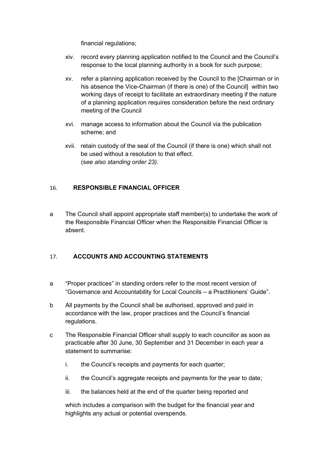financial regulations;

- xiv. record every planning application notified to the Council and the Council's response to the local planning authority in a book for such purpose;
- xv. refer a planning application received by the Council to the [Chairman or in his absence the Vice-Chairman (if there is one) of the Council] within two working days of receipt to facilitate an extraordinary meeting if the nature of a planning application requires consideration before the next ordinary meeting of the Council
- xvi. manage access to information about the Council via the publication scheme; and
- xvii. retain custody of the seal of the Council (if there is one) which shall not be used without a resolution to that effect. (s*ee also standing order 23).*

#### <span id="page-19-0"></span>16. **RESPONSIBLE FINANCIAL OFFICER**

a The Council shall appoint appropriate staff member(s) to undertake the work of the Responsible Financial Officer when the Responsible Financial Officer is absent.

#### <span id="page-19-1"></span>17. **ACCOUNTS AND ACCOUNTING STATEMENTS**

- a "Proper practices" in standing orders refer to the most recent version of "Governance and Accountability for Local Councils – a Practitioners' Guide".
- b All payments by the Council shall be authorised, approved and paid in accordance with the law, proper practices and the Council's financial regulations.
- c The Responsible Financial Officer shall supply to each councillor as soon as practicable after 30 June, 30 September and 31 December in each year a statement to summarise:
	- i. the Council's receipts and payments for each quarter;
	- ii. the Council's aggregate receipts and payments for the year to date;
	- iii. the balances held at the end of the quarter being reported and

which includes a comparison with the budget for the financial year and highlights any actual or potential overspends.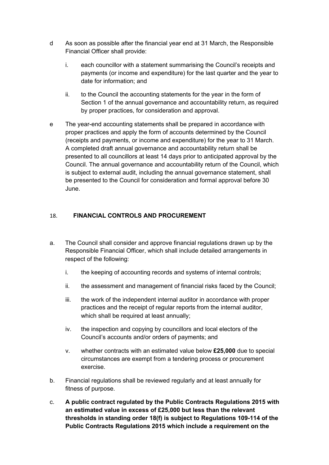- d As soon as possible after the financial year end at 31 March, the Responsible Financial Officer shall provide:
	- i. each councillor with a statement summarising the Council's receipts and payments (or income and expenditure) for the last quarter and the year to date for information; and
	- ii. to the Council the accounting statements for the year in the form of Section 1 of the annual governance and accountability return, as required by proper practices, for consideration and approval.
- e The year-end accounting statements shall be prepared in accordance with proper practices and apply the form of accounts determined by the Council (receipts and payments, or income and expenditure) for the year to 31 March. A completed draft annual governance and accountability return shall be presented to all councillors at least 14 days prior to anticipated approval by the Council. The annual governance and accountability return of the Council, which is subject to external audit, including the annual governance statement, shall be presented to the Council for consideration and formal approval before 30 June.

#### <span id="page-20-0"></span>18. **FINANCIAL CONTROLS AND PROCUREMENT**

- a. The Council shall consider and approve financial regulations drawn up by the Responsible Financial Officer, which shall include detailed arrangements in respect of the following:
	- i. the keeping of accounting records and systems of internal controls;
	- ii. the assessment and management of financial risks faced by the Council;
	- iii. the work of the independent internal auditor in accordance with proper practices and the receipt of regular reports from the internal auditor, which shall be required at least annually;
	- iv. the inspection and copying by councillors and local electors of the Council's accounts and/or orders of payments; and
	- v. whether contracts with an estimated value below **£25,000** due to special circumstances are exempt from a tendering process or procurement exercise.
- b. Financial regulations shall be reviewed regularly and at least annually for fitness of purpose.
- c. **A public contract regulated by the Public Contracts Regulations 2015 with an estimated value in excess of £25,000 but less than the relevant thresholds in standing order 18(f) is subject to Regulations 109-114 of the Public Contracts Regulations 2015 which include a requirement on the**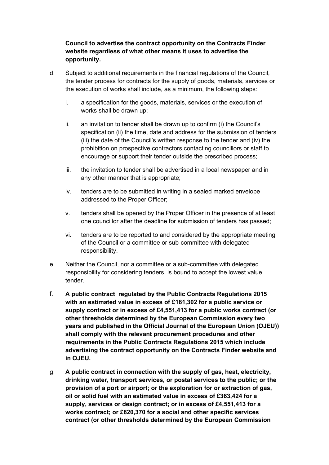#### **Council to advertise the contract opportunity on the Contracts Finder website regardless of what other means it uses to advertise the opportunity.**

- d. Subject to additional requirements in the financial regulations of the Council, the tender process for contracts for the supply of goods, materials, services or the execution of works shall include, as a minimum, the following steps:
	- i. a specification for the goods, materials, services or the execution of works shall be drawn up;
	- ii. an invitation to tender shall be drawn up to confirm (i) the Council's specification (ii) the time, date and address for the submission of tenders (iii) the date of the Council's written response to the tender and (iv) the prohibition on prospective contractors contacting councillors or staff to encourage or support their tender outside the prescribed process;
	- iii. the invitation to tender shall be advertised in a local newspaper and in any other manner that is appropriate;
	- iv. tenders are to be submitted in writing in a sealed marked envelope addressed to the Proper Officer;
	- v. tenders shall be opened by the Proper Officer in the presence of at least one councillor after the deadline for submission of tenders has passed;
	- vi. tenders are to be reported to and considered by the appropriate meeting of the Council or a committee or sub-committee with delegated responsibility.
- e. Neither the Council, nor a committee or a sub-committee with delegated responsibility for considering tenders, is bound to accept the lowest value tender.
- f. **A public contract regulated by the Public Contracts Regulations 2015 with an estimated value in excess of £181,302 for a public service or supply contract or in excess of £4,551,413 for a public works contract (or other thresholds determined by the European Commission every two years and published in the Official Journal of the European Union (OJEU)) shall comply with the relevant procurement procedures and other requirements in the Public Contracts Regulations 2015 which include advertising the contract opportunity on the Contracts Finder website and in OJEU.**
- g. **A public contract in connection with the supply of gas, heat, electricity, drinking water, transport services, or postal services to the public; or the provision of a port or airport; or the exploration for or extraction of gas, oil or solid fuel with an estimated value in excess of £363,424 for a supply, services or design contract; or in excess of £4,551,413 for a works contract; or £820,370 for a social and other specific services contract (or other thresholds determined by the European Commission**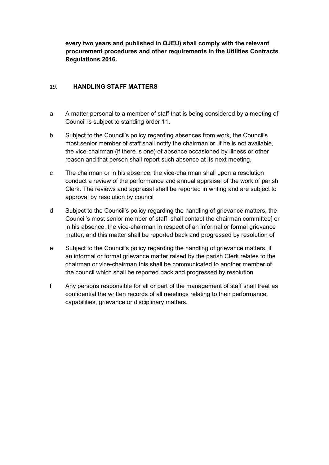**every two years and published in OJEU) shall comply with the relevant procurement procedures and other requirements in the Utilities Contracts Regulations 2016.**

#### <span id="page-22-0"></span>19. **HANDLING STAFF MATTERS**

- a A matter personal to a member of staff that is being considered by a meeting of Council is subject to standing order 11.
- b Subject to the Council's policy regarding absences from work, the Council's most senior member of staff shall notify the chairman or, if he is not available, the vice-chairman (if there is one) of absence occasioned by illness or other reason and that person shall report such absence at its next meeting.
- c The chairman or in his absence, the vice-chairman shall upon a resolution conduct a review of the performance and annual appraisal of the work of parish Clerk. The reviews and appraisal shall be reported in writing and are subject to approval by resolution by council
- d Subject to the Council's policy regarding the handling of grievance matters, the Council's most senior member of staff shall contact the chairman committee] or in his absence, the vice-chairman in respect of an informal or formal grievance matter, and this matter shall be reported back and progressed by resolution of
- e Subject to the Council's policy regarding the handling of grievance matters, if an informal or formal grievance matter raised by the parish Clerk relates to the chairman or vice-chairman this shall be communicated to another member of the council which shall be reported back and progressed by resolution
- f Any persons responsible for all or part of the management of staff shall treat as confidential the written records of all meetings relating to their performance, capabilities, grievance or disciplinary matters.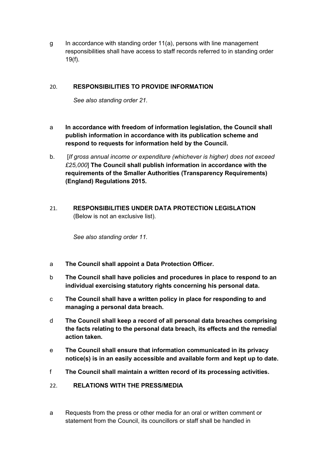g In accordance with standing order 11(a), persons with line management responsibilities shall have access to staff records referred to in standing order 19(f).

#### <span id="page-23-0"></span>20. **RESPONSIBILITIES TO PROVIDE INFORMATION**

*See also standing order 21.*

- a **In accordance with freedom of information legislation, the Council shall publish information in accordance with its publication scheme and respond to requests for information held by the Council.**
- b. [*If gross annual income or expenditure (whichever is higher) does not exceed £25,000*] **The Council shall publish information in accordance with the requirements of the Smaller Authorities (Transparency Requirements) (England) Regulations 2015.**
- <span id="page-23-1"></span>21. **RESPONSIBILITIES UNDER DATA PROTECTION LEGISLATION**  (Below is not an exclusive list).

*See also standing order 11.*

- a **The Council shall appoint a Data Protection Officer.**
- b **The Council shall have policies and procedures in place to respond to an individual exercising statutory rights concerning his personal data.**
- c **The Council shall have a written policy in place for responding to and managing a personal data breach.**
- d **The Council shall keep a record of all personal data breaches comprising the facts relating to the personal data breach, its effects and the remedial action taken.**
- e **The Council shall ensure that information communicated in its privacy notice(s) is in an easily accessible and available form and kept up to date.**
- f **The Council shall maintain a written record of its processing activities.**
- <span id="page-23-2"></span>22. **RELATIONS WITH THE PRESS/MEDIA**
- a Requests from the press or other media for an oral or written comment or statement from the Council, its councillors or staff shall be handled in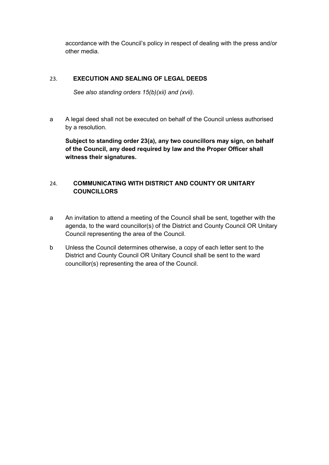accordance with the Council's policy in respect of dealing with the press and/or other media.

#### <span id="page-24-0"></span>23. **EXECUTION AND SEALING OF LEGAL DEEDS**

*See also standing orders 15(b)(xii) and (xvii).*

a A legal deed shall not be executed on behalf of the Council unless authorised by a resolution.

**Subject to standing order 23(a), any two councillors may sign, on behalf of the Council, any deed required by law and the Proper Officer shall witness their signatures.**

### <span id="page-24-1"></span>24. **COMMUNICATING WITH DISTRICT AND COUNTY OR UNITARY COUNCILLORS**

- a An invitation to attend a meeting of the Council shall be sent, together with the agenda, to the ward councillor(s) of the District and County Council OR Unitary Council representing the area of the Council.
- b Unless the Council determines otherwise, a copy of each letter sent to the District and County Council OR Unitary Council shall be sent to the ward councillor(s) representing the area of the Council.